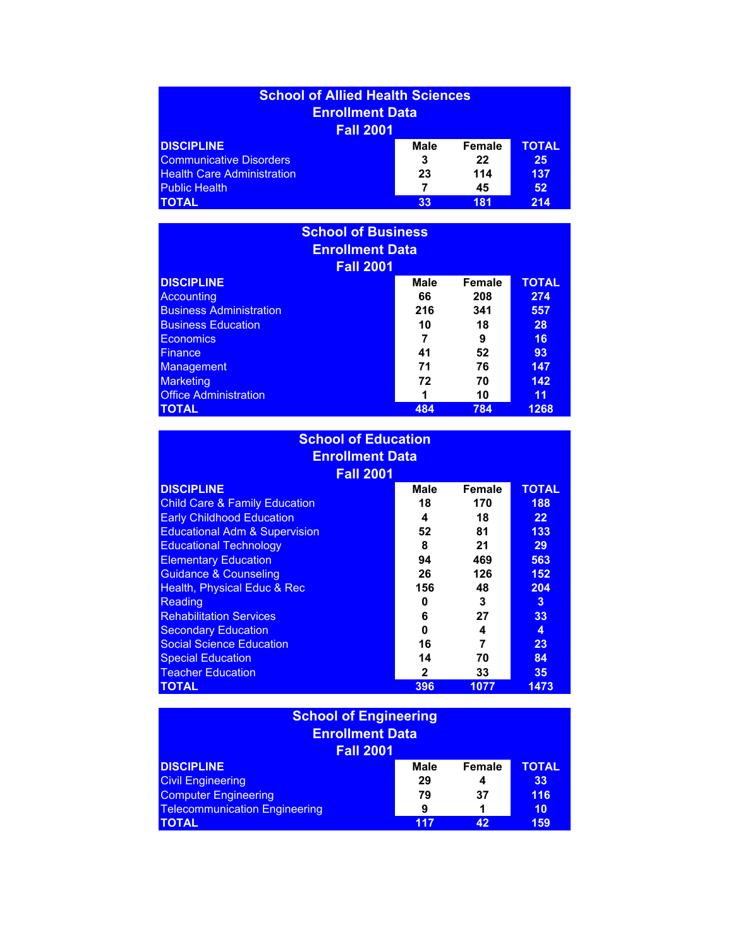| <b>School of Allied Health Sciences</b> |             |               |              |
|-----------------------------------------|-------------|---------------|--------------|
| <b>Enrollment Data</b>                  |             |               |              |
| <b>Fall 2001</b>                        |             |               |              |
| <b>DISCIPLINE</b>                       | <b>Male</b> | <b>Female</b> | <b>TOTAL</b> |
| <b>Communicative Disorders</b>          | 3           | 22            | 25           |
| <b>Health Care Administration</b>       | 23          | 114           | 137          |
| <b>Public Health</b>                    |             | 45            | 52           |
| <b>TOTAL</b>                            | 33          | 181           | 214          |

| <b>School of Business</b><br><b>Enrollment Data</b> |             |               |              |
|-----------------------------------------------------|-------------|---------------|--------------|
| <b>Fall 2001</b><br><b>DISCIPLINE</b>               | <b>Male</b> | <b>Female</b> | <b>TOTAL</b> |
|                                                     |             |               |              |
| <b>Accounting</b>                                   | 66          | 208           | 274          |
| <b>Business Administration</b>                      | 216         | 341           | 557          |
| <b>Business Education</b>                           | 10          | 18            | 28           |
| <b>Economics</b>                                    | 7           | 9             | 16           |
| <b>Finance</b>                                      | 41          | 52            | 93           |
| Management                                          | 71          | 76            | 147          |
| <b>Marketing</b>                                    | 72          | 70            | 142          |
| <b>Office Administration</b>                        | 1           | 10            | 11           |
| <b>TOTAL</b>                                        | 484         | 784           | 1268         |

## **School of Education Enrollment Data**

| <b>Fall 2001</b>                         |             |        |                   |
|------------------------------------------|-------------|--------|-------------------|
| <b>DISCIPLINE</b>                        | <b>Male</b> | Female | <b>TOTAL</b>      |
| <b>Child Care &amp; Family Education</b> | 18          | 170    | 188               |
| <b>Early Childhood Education</b>         | 4           | 18     | $22 \overline{)}$ |
| <b>Educational Adm &amp; Supervision</b> | 52          | 81     | 133               |
| <b>Educational Technology</b>            | 8           | 21     | 29                |
| <b>Elementary Education</b>              | 94          | 469    | 563               |
| <b>Guidance &amp; Counseling</b>         | 26          | 126    | 152               |
| <b>Health, Physical Educ &amp; Rec</b>   | 156         | 48     | 204               |
| Reading                                  | O           | 3      | $\mathbf{3}$      |
| <b>Rehabilitation Services</b>           | 6           | 27     | 33                |
| <b>Secondary Education</b>               | 0           | 4      | 4                 |
| <b>Social Science Education</b>          | 16          | 7      | 23                |
| <b>Special Education</b>                 | 14          | 70     | 84                |
| <b>Teacher Education</b>                 | 2           | 33     | 35                |
| <b>TOTAL</b>                             | 396         | 1077   | 1473              |

| <b>School of Engineering</b><br><b>Enrollment Data</b><br><b>Fall 2001</b> |             |               |              |
|----------------------------------------------------------------------------|-------------|---------------|--------------|
| <b>DISCIPLINE</b>                                                          | <b>Male</b> | <b>Female</b> | <b>TOTAL</b> |
| <b>Civil Engineering</b>                                                   | 29          | 4             | 33           |
| <b>Computer Engineering</b>                                                | 79          | 37            | 116          |
| <b>Telecommunication Engineering</b>                                       | 9           |               | 10           |
| <b>TOTAL</b>                                                               | 117         | 42            | 159          |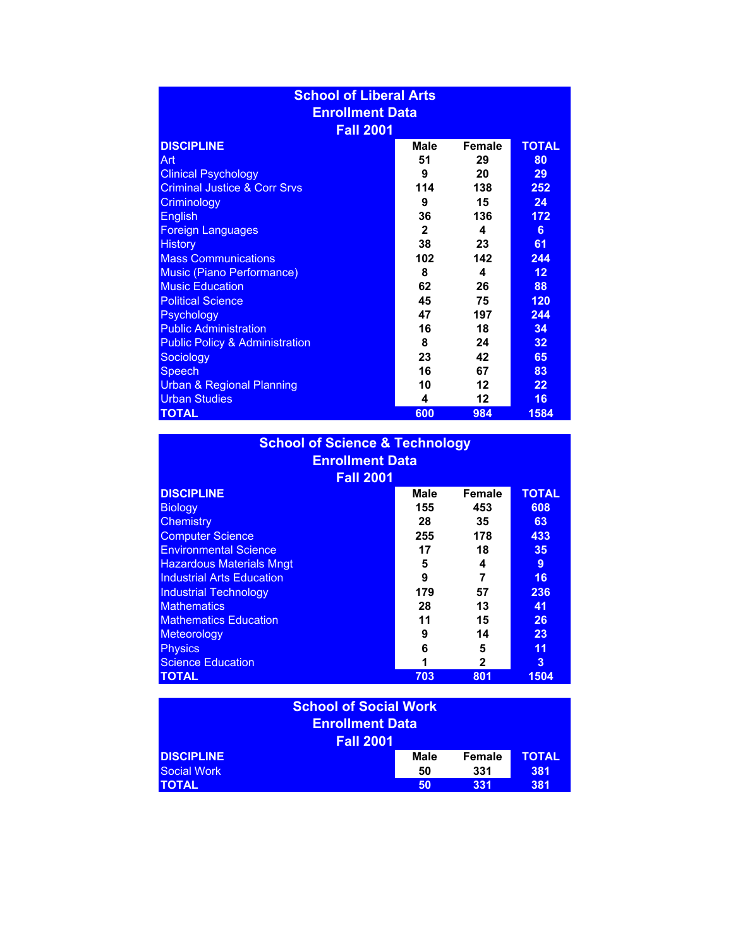| <b>School of Liberal Arts</b>             |              |         |                 |
|-------------------------------------------|--------------|---------|-----------------|
| <b>Enrollment Data</b>                    |              |         |                 |
| <b>Fall 2001</b>                          |              |         |                 |
| <b>DISCIPLINE</b>                         | <b>Male</b>  | Female  | <b>TOTAL</b>    |
| Art                                       | 51           | 29      | 80              |
| <b>Clinical Psychology</b>                | 9            | 20      | 29              |
| <b>Criminal Justice &amp; Corr Srvs</b>   | 114          | 138     | 252             |
| Criminology                               | 9            | 15      | 24              |
| <b>English</b>                            | 36           | 136     | 172             |
| <b>Foreign Languages</b>                  | $\mathbf{2}$ | 4       | 6               |
| <b>History</b>                            | 38           | 23      | 61              |
| <b>Mass Communications</b>                | 102          | 142     | 244             |
| <b>Music (Piano Performance)</b>          | 8            | 4       | 12 <sub>2</sub> |
| <b>Music Education</b>                    | 62           | 26      | 88              |
| <b>Political Science</b>                  | 45           | 75      | 120             |
| Psychology                                | 47           | 197     | 244             |
| <b>Public Administration</b>              | 16           | 18      | 34              |
| <b>Public Policy &amp; Administration</b> | 8            | 24      | 32              |
| Sociology                                 | 23           | 42      | 65              |
| <b>Speech</b>                             | 16           | 67      | 83              |
| <b>Urban &amp; Regional Planning</b>      | 10           | 12      | 22              |
| <b>Urban Studies</b>                      | 4            | $12 \,$ | 16              |
| <b>TOTAL</b>                              | 600          | 984     | 1584            |

| <b>School of Science &amp; Technology</b> |      |        |              |
|-------------------------------------------|------|--------|--------------|
| <b>Enrollment Data</b>                    |      |        |              |
| <b>Fall 2001</b>                          |      |        |              |
| <b>DISCIPLINE</b>                         | Male | Female | <b>TOTAL</b> |
| <b>Biology</b>                            | 155  | 453    | 608          |
| Chemistry                                 | 28   | 35     | 63           |
| <b>Computer Science</b>                   | 255  | 178    | 433          |
| <b>Environmental Science</b>              | 17   | 18     | 35           |
| <b>Hazardous Materials Mngt</b>           | 5    | 4      | 9            |
| <b>Industrial Arts Education</b>          | 9    | 7      | 16           |
| <b>Industrial Technology</b>              | 179  | 57     | 236          |
| <b>Mathematics</b>                        | 28   | 13     | 41           |
| <b>Mathematics Education</b>              | 11   | 15     | 26           |
| Meteorology                               | 9    | 14     | 23           |
| <b>Physics</b>                            | 6    | 5      | 11           |
| <b>Science Education</b>                  | 1    | 2      | 3            |
| <b>TOTAL</b>                              | 703  | 801    | 1504         |

| <b>School of Social Work</b><br><b>Enrollment Data</b><br><b>Fall 2001</b> |             |        |              |  |
|----------------------------------------------------------------------------|-------------|--------|--------------|--|
| <b>DISCIPLINE</b>                                                          | <b>Male</b> | Female | <b>TOTAL</b> |  |
| <b>Social Work</b>                                                         | 50          | 331    | 381          |  |
| <b>TOTAL</b>                                                               | 50          | 331    | 381          |  |